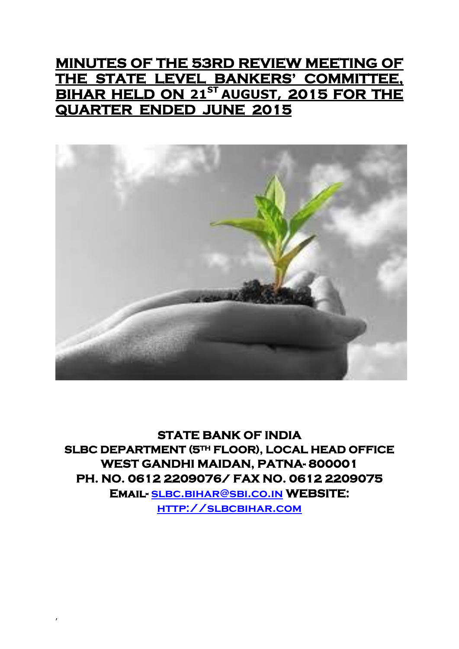# **MINUTES OF THE 53RD REVIEW MEETING OF THE STATE LEVEL BANKERS' COMMITTEE, BIHAR HELD ON 21 ST AUGUST, 2015 FOR THE QUARTER ENDED JUNE 2015**



**STATE BANK OF INDIA SLBC DEPARTMENT (5TH FLOOR), LOCAL HEAD OFFICE WEST GANDHI MAIDAN, PATNA- 800001 PH. NO. 0612 2209076/ FAX NO. 0612 2209075 Email- [slbc.bihar@sbi.co.in](mailto:slbc.bihar@sbi.co.in) WEBSITE: [http://slbcbihar.com](http://slbcbihar.com/)**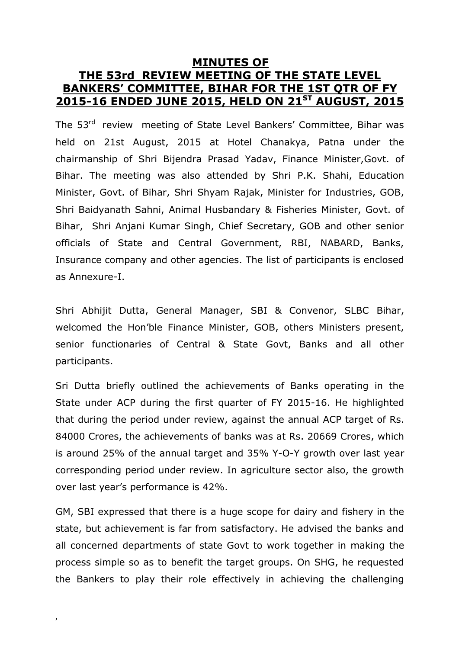# **MINUTES OF THE 53rd REVIEW MEETING OF THE STATE LEVEL BANKERS' COMMITTEE, BIHAR FOR THE 1ST QTR OF FY 2015-16 ENDED JUNE 2015, HELD ON 21 ST AUGUST, 2015**

The 53<sup>rd</sup> review meeting of State Level Bankers' Committee, Bihar was held on 21st August, 2015 at Hotel Chanakya, Patna under the chairmanship of Shri Bijendra Prasad Yadav, Finance Minister,Govt. of Bihar. The meeting was also attended by Shri P.K. Shahi, Education Minister, Govt. of Bihar, Shri Shyam Rajak, Minister for Industries, GOB, Shri Baidyanath Sahni, Animal Husbandary & Fisheries Minister, Govt. of Bihar, Shri Anjani Kumar Singh, Chief Secretary, GOB and other senior officials of State and Central Government, RBI, NABARD, Banks, Insurance company and other agencies. The list of participants is enclosed as Annexure-I.

Shri Abhijit Dutta, General Manager, SBI & Convenor, SLBC Bihar, welcomed the Hon'ble Finance Minister, GOB, others Ministers present, senior functionaries of Central & State Govt, Banks and all other participants.

Sri Dutta briefly outlined the achievements of Banks operating in the State under ACP during the first quarter of FY 2015-16. He highlighted that during the period under review, against the annual ACP target of Rs. 84000 Crores, the achievements of banks was at Rs. 20669 Crores, which is around 25% of the annual target and 35% Y-O-Y growth over last year corresponding period under review. In agriculture sector also, the growth over last year's performance is 42%.

GM, SBI expressed that there is a huge scope for dairy and fishery in the state, but achievement is far from satisfactory. He advised the banks and all concerned departments of state Govt to work together in making the process simple so as to benefit the target groups. On SHG, he requested the Bankers to play their role effectively in achieving the challenging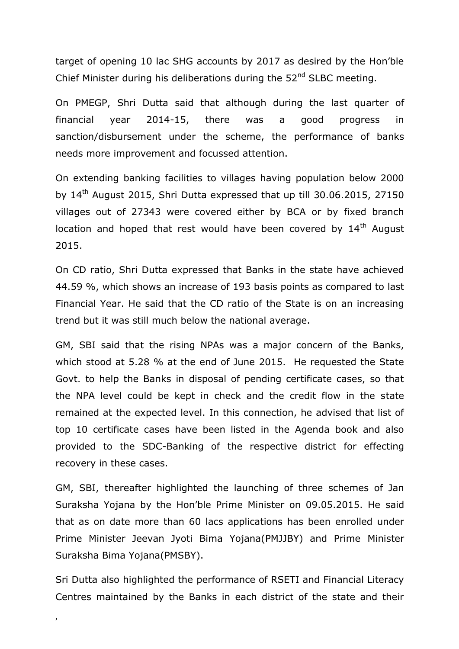target of opening 10 lac SHG accounts by 2017 as desired by the Hon'ble Chief Minister during his deliberations during the 52<sup>nd</sup> SLBC meeting.

On PMEGP, Shri Dutta said that although during the last quarter of financial year 2014-15, there was a good progress in sanction/disbursement under the scheme, the performance of banks needs more improvement and focussed attention.

On extending banking facilities to villages having population below 2000 by  $14<sup>th</sup>$  August 2015, Shri Dutta expressed that up till 30.06.2015, 27150 villages out of 27343 were covered either by BCA or by fixed branch location and hoped that rest would have been covered by 14<sup>th</sup> August 2015.

On CD ratio, Shri Dutta expressed that Banks in the state have achieved 44.59 %, which shows an increase of 193 basis points as compared to last Financial Year. He said that the CD ratio of the State is on an increasing trend but it was still much below the national average.

GM, SBI said that the rising NPAs was a major concern of the Banks, which stood at 5.28 % at the end of June 2015. He requested the State Govt. to help the Banks in disposal of pending certificate cases, so that the NPA level could be kept in check and the credit flow in the state remained at the expected level. In this connection, he advised that list of top 10 certificate cases have been listed in the Agenda book and also provided to the SDC-Banking of the respective district for effecting recovery in these cases.

GM, SBI, thereafter highlighted the launching of three schemes of Jan Suraksha Yojana by the Hon'ble Prime Minister on 09.05.2015. He said that as on date more than 60 lacs applications has been enrolled under Prime Minister Jeevan Jyoti Bima Yojana(PMJJBY) and Prime Minister Suraksha Bima Yojana(PMSBY).

Sri Dutta also highlighted the performance of RSETI and Financial Literacy Centres maintained by the Banks in each district of the state and their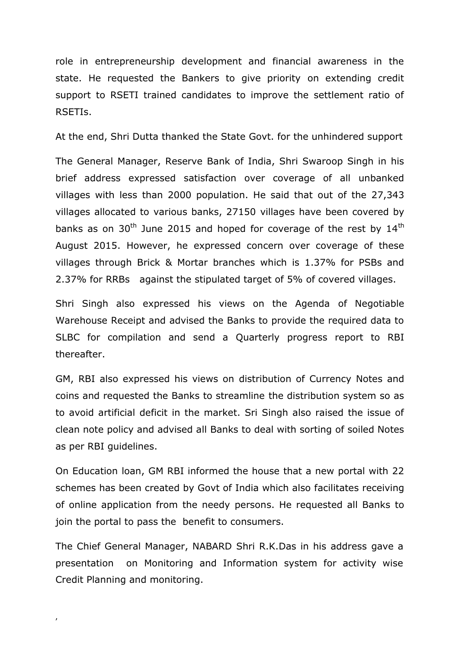role in entrepreneurship development and financial awareness in the state. He requested the Bankers to give priority on extending credit support to RSETI trained candidates to improve the settlement ratio of RSETIs.

At the end, Shri Dutta thanked the State Govt. for the unhindered support

The General Manager, Reserve Bank of India, Shri Swaroop Singh in his brief address expressed satisfaction over coverage of all unbanked villages with less than 2000 population. He said that out of the 27,343 villages allocated to various banks, 27150 villages have been covered by banks as on 30<sup>th</sup> June 2015 and hoped for coverage of the rest by  $14<sup>th</sup>$ August 2015. However, he expressed concern over coverage of these villages through Brick & Mortar branches which is 1.37% for PSBs and 2.37% for RRBs against the stipulated target of 5% of covered villages.

Shri Singh also expressed his views on the Agenda of Negotiable Warehouse Receipt and advised the Banks to provide the required data to SLBC for compilation and send a Quarterly progress report to RBI thereafter.

GM, RBI also expressed his views on distribution of Currency Notes and coins and requested the Banks to streamline the distribution system so as to avoid artificial deficit in the market. Sri Singh also raised the issue of clean note policy and advised all Banks to deal with sorting of soiled Notes as per RBI guidelines.

On Education loan, GM RBI informed the house that a new portal with 22 schemes has been created by Govt of India which also facilitates receiving of online application from the needy persons. He requested all Banks to join the portal to pass the benefit to consumers.

The Chief General Manager, NABARD Shri R.K.Das in his address gave a presentation on Monitoring and Information system for activity wise Credit Planning and monitoring.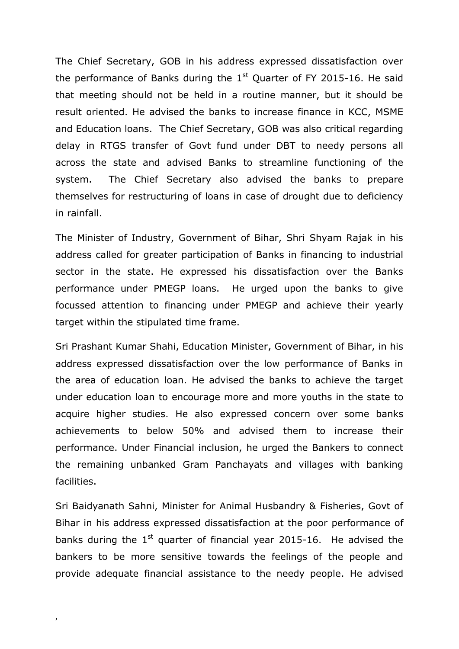The Chief Secretary, GOB in his address expressed dissatisfaction over the performance of Banks during the  $1<sup>st</sup>$  Quarter of FY 2015-16. He said that meeting should not be held in a routine manner, but it should be result oriented. He advised the banks to increase finance in KCC, MSME and Education loans. The Chief Secretary, GOB was also critical regarding delay in RTGS transfer of Govt fund under DBT to needy persons all across the state and advised Banks to streamline functioning of the system. The Chief Secretary also advised the banks to prepare themselves for restructuring of loans in case of drought due to deficiency in rainfall.

The Minister of Industry, Government of Bihar, Shri Shyam Rajak in his address called for greater participation of Banks in financing to industrial sector in the state. He expressed his dissatisfaction over the Banks performance under PMEGP loans. He urged upon the banks to give focussed attention to financing under PMEGP and achieve their yearly target within the stipulated time frame.

Sri Prashant Kumar Shahi, Education Minister, Government of Bihar, in his address expressed dissatisfaction over the low performance of Banks in the area of education loan. He advised the banks to achieve the target under education loan to encourage more and more youths in the state to acquire higher studies. He also expressed concern over some banks achievements to below 50% and advised them to increase their performance. Under Financial inclusion, he urged the Bankers to connect the remaining unbanked Gram Panchayats and villages with banking facilities.

Sri Baidyanath Sahni, Minister for Animal Husbandry & Fisheries, Govt of Bihar in his address expressed dissatisfaction at the poor performance of banks during the  $1<sup>st</sup>$  quarter of financial year 2015-16. He advised the bankers to be more sensitive towards the feelings of the people and provide adequate financial assistance to the needy people. He advised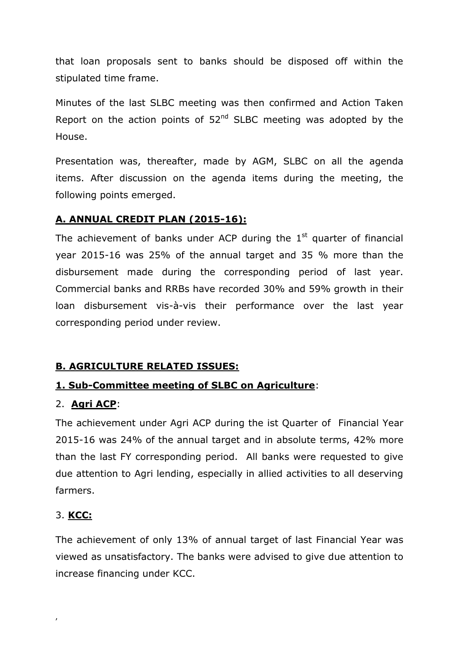that loan proposals sent to banks should be disposed off within the stipulated time frame.

Minutes of the last SLBC meeting was then confirmed and Action Taken Report on the action points of  $52<sup>nd</sup>$  SLBC meeting was adopted by the House.

Presentation was, thereafter, made by AGM, SLBC on all the agenda items. After discussion on the agenda items during the meeting, the following points emerged.

#### **A. ANNUAL CREDIT PLAN (2015-16):**

The achievement of banks under ACP during the  $1<sup>st</sup>$  quarter of financial year 2015-16 was 25% of the annual target and 35 % more than the disbursement made during the corresponding period of last year. Commercial banks and RRBs have recorded 30% and 59% growth in their loan disbursement vis-à-vis their performance over the last year corresponding period under review.

# **B. AGRICULTURE RELATED ISSUES:**

# **1. Sub-Committee meeting of SLBC on Agriculture**:

#### 2. **Agri ACP**:

The achievement under Agri ACP during the ist Quarter of Financial Year 2015-16 was 24% of the annual target and in absolute terms, 42% more than the last FY corresponding period. All banks were requested to give due attention to Agri lending, especially in allied activities to all deserving farmers.

#### 3. **KCC:**

,

The achievement of only 13% of annual target of last Financial Year was viewed as unsatisfactory. The banks were advised to give due attention to increase financing under KCC.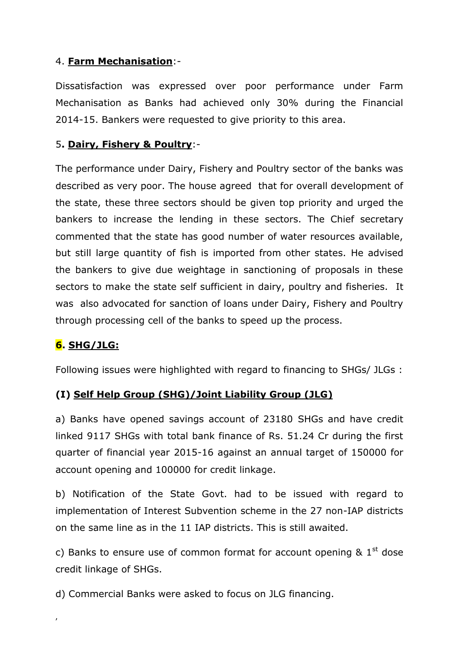### 4. **Farm Mechanisation**:-

Dissatisfaction was expressed over poor performance under Farm Mechanisation as Banks had achieved only 30% during the Financial 2014-15. Bankers were requested to give priority to this area.

#### 5**. Dairy, Fishery & Poultry**:-

The performance under Dairy, Fishery and Poultry sector of the banks was described as very poor. The house agreed that for overall development of the state, these three sectors should be given top priority and urged the bankers to increase the lending in these sectors. The Chief secretary commented that the state has good number of water resources available, but still large quantity of fish is imported from other states. He advised the bankers to give due weightage in sanctioning of proposals in these sectors to make the state self sufficient in dairy, poultry and fisheries. It was also advocated for sanction of loans under Dairy, Fishery and Poultry through processing cell of the banks to speed up the process.

# **6. SHG/JLG:**

,

Following issues were highlighted with regard to financing to SHGs/ JLGs :

#### **(I) Self Help Group (SHG)/Joint Liability Group (JLG)**

a) Banks have opened savings account of 23180 SHGs and have credit linked 9117 SHGs with total bank finance of Rs. 51.24 Cr during the first quarter of financial year 2015-16 against an annual target of 150000 for account opening and 100000 for credit linkage.

b) Notification of the State Govt. had to be issued with regard to implementation of Interest Subvention scheme in the 27 non-IAP districts on the same line as in the 11 IAP districts. This is still awaited.

c) Banks to ensure use of common format for account opening  $\&$  1<sup>st</sup> dose credit linkage of SHGs.

d) Commercial Banks were asked to focus on JLG financing.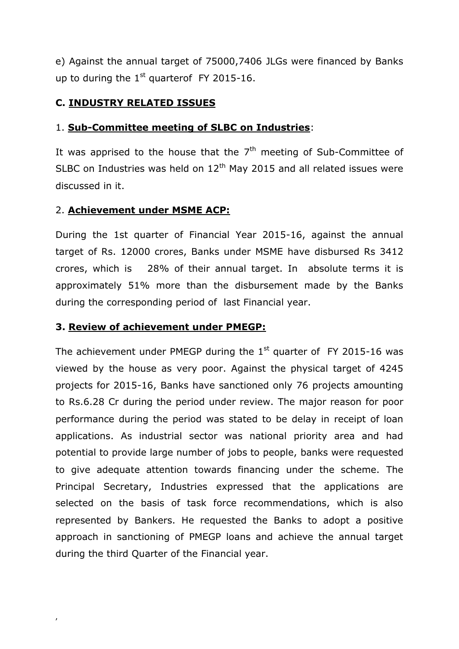e) Against the annual target of 75000,7406 JLGs were financed by Banks up to during the  $1<sup>st</sup>$  quarterof FY 2015-16.

### **C. INDUSTRY RELATED ISSUES**

#### 1. **Sub-Committee meeting of SLBC on Industries**:

It was apprised to the house that the  $7<sup>th</sup>$  meeting of Sub-Committee of SLBC on Industries was held on  $12<sup>th</sup>$  May 2015 and all related issues were discussed in it.

#### 2. **Achievement under MSME ACP:**

During the 1st quarter of Financial Year 2015-16, against the annual target of Rs. 12000 crores, Banks under MSME have disbursed Rs 3412 crores, which is 28% of their annual target. In absolute terms it is approximately 51% more than the disbursement made by the Banks during the corresponding period of last Financial year.

#### **3. Review of achievement under PMEGP:**

The achievement under PMEGP during the  $1<sup>st</sup>$  quarter of FY 2015-16 was viewed by the house as very poor. Against the physical target of 4245 projects for 2015-16, Banks have sanctioned only 76 projects amounting to Rs.6.28 Cr during the period under review. The major reason for poor performance during the period was stated to be delay in receipt of loan applications. As industrial sector was national priority area and had potential to provide large number of jobs to people, banks were requested to give adequate attention towards financing under the scheme. The Principal Secretary, Industries expressed that the applications are selected on the basis of task force recommendations, which is also represented by Bankers. He requested the Banks to adopt a positive approach in sanctioning of PMEGP loans and achieve the annual target during the third Quarter of the Financial year.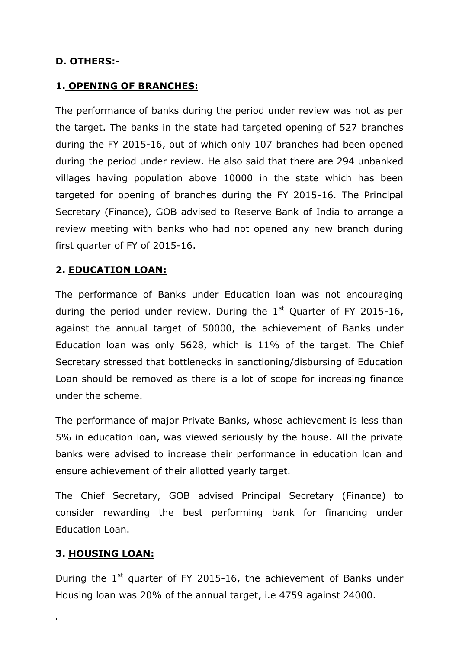#### **D. OTHERS:-**

#### **1. OPENING OF BRANCHES:**

The performance of banks during the period under review was not as per the target. The banks in the state had targeted opening of 527 branches during the FY 2015-16, out of which only 107 branches had been opened during the period under review. He also said that there are 294 unbanked villages having population above 10000 in the state which has been targeted for opening of branches during the FY 2015-16. The Principal Secretary (Finance), GOB advised to Reserve Bank of India to arrange a review meeting with banks who had not opened any new branch during first quarter of FY of 2015-16.

#### **2. EDUCATION LOAN:**

The performance of Banks under Education loan was not encouraging during the period under review. During the  $1<sup>st</sup>$  Quarter of FY 2015-16, against the annual target of 50000, the achievement of Banks under Education loan was only 5628, which is 11% of the target. The Chief Secretary stressed that bottlenecks in sanctioning/disbursing of Education Loan should be removed as there is a lot of scope for increasing finance under the scheme.

The performance of major Private Banks, whose achievement is less than 5% in education loan, was viewed seriously by the house. All the private banks were advised to increase their performance in education loan and ensure achievement of their allotted yearly target.

The Chief Secretary, GOB advised Principal Secretary (Finance) to consider rewarding the best performing bank for financing under Education Loan.

#### **3. HOUSING LOAN:**

,

During the  $1<sup>st</sup>$  quarter of FY 2015-16, the achievement of Banks under Housing loan was 20% of the annual target, i.e 4759 against 24000.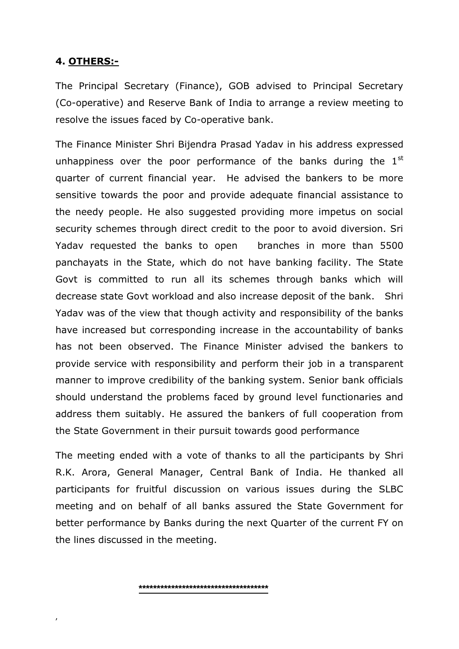#### **4. OTHERS:-**

,

The Principal Secretary (Finance), GOB advised to Principal Secretary (Co-operative) and Reserve Bank of India to arrange a review meeting to resolve the issues faced by Co-operative bank.

The Finance Minister Shri Bijendra Prasad Yadav in his address expressed unhappiness over the poor performance of the banks during the  $1<sup>st</sup>$ quarter of current financial year. He advised the bankers to be more sensitive towards the poor and provide adequate financial assistance to the needy people. He also suggested providing more impetus on social security schemes through direct credit to the poor to avoid diversion. Sri Yadav requested the banks to open branches in more than 5500 panchayats in the State, which do not have banking facility. The State Govt is committed to run all its schemes through banks which will decrease state Govt workload and also increase deposit of the bank. Shri Yadav was of the view that though activity and responsibility of the banks have increased but corresponding increase in the accountability of banks has not been observed. The Finance Minister advised the bankers to provide service with responsibility and perform their job in a transparent manner to improve credibility of the banking system. Senior bank officials should understand the problems faced by ground level functionaries and address them suitably. He assured the bankers of full cooperation from the State Government in their pursuit towards good performance

The meeting ended with a vote of thanks to all the participants by Shri R.K. Arora, General Manager, Central Bank of India. He thanked all participants for fruitful discussion on various issues during the SLBC meeting and on behalf of all banks assured the State Government for better performance by Banks during the next Quarter of the current FY on the lines discussed in the meeting.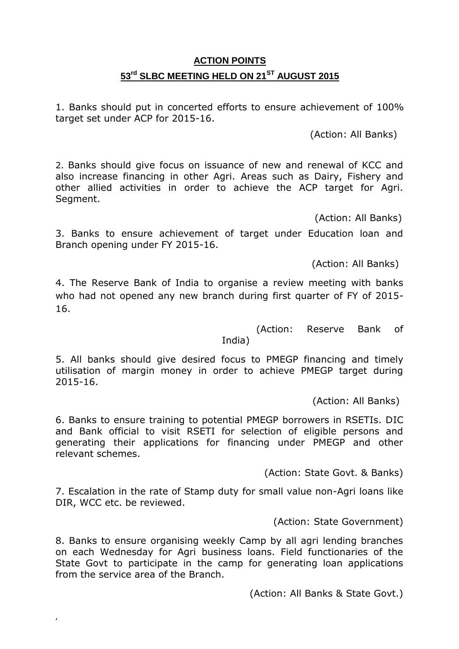# **ACTION POINTS 53rd SLBC MEETING HELD ON 21ST AUGUST 2015**

1. Banks should put in concerted efforts to ensure achievement of 100% target set under ACP for 2015-16.

(Action: All Banks)

2. Banks should give focus on issuance of new and renewal of KCC and also increase financing in other Agri. Areas such as Dairy, Fishery and other allied activities in order to achieve the ACP target for Agri. Seament.

(Action: All Banks)

3. Banks to ensure achievement of target under Education loan and Branch opening under FY 2015-16.

(Action: All Banks)

4. The Reserve Bank of India to organise a review meeting with banks who had not opened any new branch during first quarter of FY of 2015- 16.

(Action: Reserve Bank of

India)

5. All banks should give desired focus to PMEGP financing and timely utilisation of margin money in order to achieve PMEGP target during 2015-16.

(Action: All Banks)

6. Banks to ensure training to potential PMEGP borrowers in RSETIs. DIC and Bank official to visit RSETI for selection of eligible persons and generating their applications for financing under PMEGP and other relevant schemes.

(Action: State Govt. & Banks)

7. Escalation in the rate of Stamp duty for small value non-Agri loans like DIR, WCC etc. be reviewed.

(Action: State Government)

8. Banks to ensure organising weekly Camp by all agri lending branches on each Wednesday for Agri business loans. Field functionaries of the State Govt to participate in the camp for generating loan applications from the service area of the Branch.

,

(Action: All Banks & State Govt.)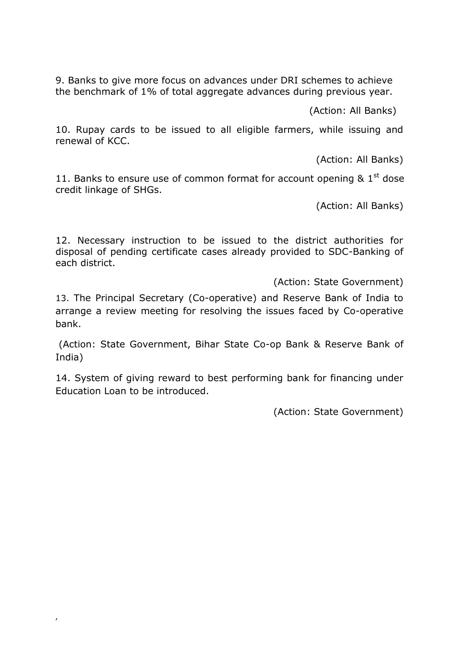9. Banks to give more focus on advances under DRI schemes to achieve the benchmark of 1% of total aggregate advances during previous year.

(Action: All Banks)

10. Rupay cards to be issued to all eligible farmers, while issuing and renewal of KCC.

(Action: All Banks)

11. Banks to ensure use of common format for account opening  $81^{st}$  dose credit linkage of SHGs.

(Action: All Banks)

12. Necessary instruction to be issued to the district authorities for disposal of pending certificate cases already provided to SDC-Banking of each district.

(Action: State Government)

13. The Principal Secretary (Co-operative) and Reserve Bank of India to arrange a review meeting for resolving the issues faced by Co-operative bank.

(Action: State Government, Bihar State Co-op Bank & Reserve Bank of India)

14. System of giving reward to best performing bank for financing under Education Loan to be introduced.

,

(Action: State Government)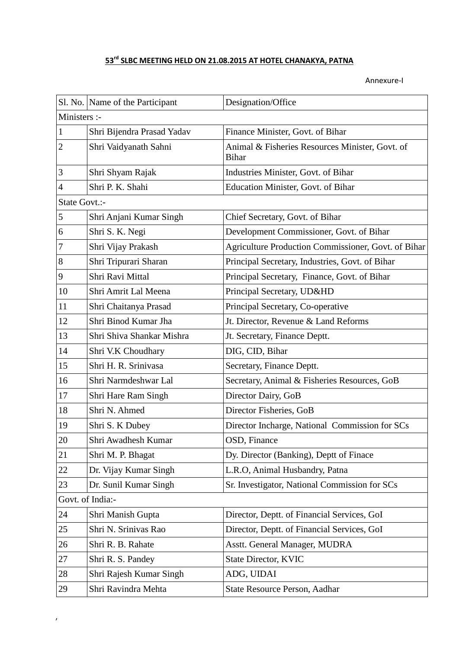# **rd SLBC MEETING HELD ON 21.08.2015 AT HOTEL CHANAKYA, PATNA**

Annexure-I

|                  | Sl. No. Name of the Participant | Designation/Office                                              |  |  |
|------------------|---------------------------------|-----------------------------------------------------------------|--|--|
| Ministers :-     |                                 |                                                                 |  |  |
| $\mathbf{1}$     | Shri Bijendra Prasad Yadav      | Finance Minister, Govt. of Bihar                                |  |  |
| $\overline{c}$   | Shri Vaidyanath Sahni           | Animal & Fisheries Resources Minister, Govt. of<br><b>Bihar</b> |  |  |
| 3                | Shri Shyam Rajak                | Industries Minister, Govt. of Bihar                             |  |  |
| $\overline{4}$   | Shri P. K. Shahi                | Education Minister, Govt. of Bihar                              |  |  |
| State Govt.:-    |                                 |                                                                 |  |  |
| $\mathfrak{S}$   | Shri Anjani Kumar Singh         | Chief Secretary, Govt. of Bihar                                 |  |  |
| 6                | Shri S. K. Negi                 | Development Commissioner, Govt. of Bihar                        |  |  |
| $\overline{7}$   | Shri Vijay Prakash              | Agriculture Production Commissioner, Govt. of Bihar             |  |  |
| 8                | Shri Tripurari Sharan           | Principal Secretary, Industries, Govt. of Bihar                 |  |  |
| 9                | Shri Ravi Mittal                | Principal Secretary, Finance, Govt. of Bihar                    |  |  |
| 10               | Shri Amrit Lal Meena            | Principal Secretary, UD&HD                                      |  |  |
| 11               | Shri Chaitanya Prasad           | Principal Secretary, Co-operative                               |  |  |
| 12               | Shri Binod Kumar Jha            | Jt. Director, Revenue & Land Reforms                            |  |  |
| 13               | Shri Shiva Shankar Mishra       | Jt. Secretary, Finance Deptt.                                   |  |  |
| 14               | Shri V.K Choudhary              | DIG, CID, Bihar                                                 |  |  |
| 15               | Shri H. R. Srinivasa            | Secretary, Finance Deptt.                                       |  |  |
| 16               | Shri Narmdeshwar Lal            | Secretary, Animal & Fisheries Resources, GoB                    |  |  |
| 17               | Shri Hare Ram Singh             | Director Dairy, GoB                                             |  |  |
| 18               | Shri N. Ahmed                   | Director Fisheries, GoB                                         |  |  |
| 19               | Shri S. K Dubey                 | Director Incharge, National Commission for SCs                  |  |  |
| 20               | Shri Awadhesh Kumar             | OSD, Finance                                                    |  |  |
| 21               | Shri M. P. Bhagat               | Dy. Director (Banking), Deptt of Finace                         |  |  |
| 22               | Dr. Vijay Kumar Singh           | L.R.O, Animal Husbandry, Patna                                  |  |  |
| 23               | Dr. Sunil Kumar Singh           | Sr. Investigator, National Commission for SCs                   |  |  |
| Govt. of India:- |                                 |                                                                 |  |  |
| 24               | Shri Manish Gupta               | Director, Deptt. of Financial Services, GoI                     |  |  |
| 25               | Shri N. Srinivas Rao            | Director, Deptt. of Financial Services, GoI                     |  |  |
| 26               | Shri R. B. Rahate               | Asstt. General Manager, MUDRA                                   |  |  |
| 27               | Shri R. S. Pandey               | <b>State Director, KVIC</b>                                     |  |  |
| 28               | Shri Rajesh Kumar Singh         | ADG, UIDAI                                                      |  |  |
| 29               | Shri Ravindra Mehta             | State Resource Person, Aadhar                                   |  |  |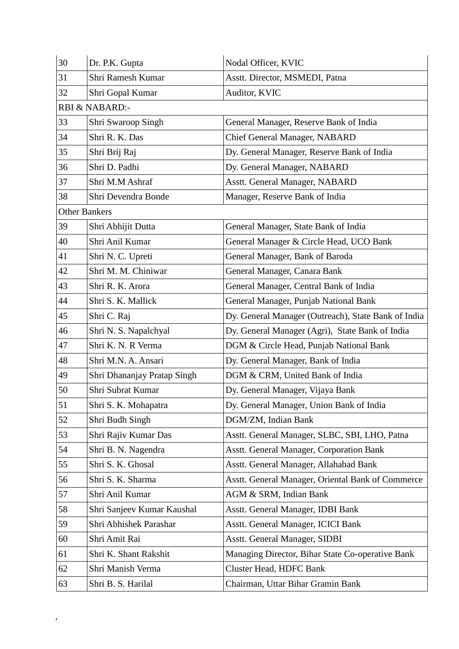| 30 | Dr. P.K. Gupta              | Nodal Officer, KVIC                                 |
|----|-----------------------------|-----------------------------------------------------|
| 31 | Shri Ramesh Kumar           | Asstt. Director, MSMEDI, Patna                      |
| 32 | Shri Gopal Kumar            | Auditor, KVIC                                       |
|    | RBI & NABARD:-              |                                                     |
| 33 | Shri Swaroop Singh          | General Manager, Reserve Bank of India              |
| 34 | Shri R. K. Das              | Chief General Manager, NABARD                       |
| 35 | Shri Brij Raj               | Dy. General Manager, Reserve Bank of India          |
| 36 | Shri D. Padhi               | Dy. General Manager, NABARD                         |
| 37 | Shri M.M Ashraf             | Asstt. General Manager, NABARD                      |
| 38 | Shri Devendra Bonde         | Manager, Reserve Bank of India                      |
|    | <b>Other Bankers</b>        |                                                     |
| 39 | Shri Abhijit Dutta          | General Manager, State Bank of India                |
| 40 | Shri Anil Kumar             | General Manager & Circle Head, UCO Bank             |
| 41 | Shri N. C. Upreti           | General Manager, Bank of Baroda                     |
| 42 | Shri M. M. Chiniwar         | General Manager, Canara Bank                        |
| 43 | Shri R. K. Arora            | General Manager, Central Bank of India              |
| 44 | Shri S. K. Mallick          | General Manager, Punjab National Bank               |
| 45 | Shri C. Raj                 | Dy. General Manager (Outreach), State Bank of India |
| 46 | Shri N. S. Napalchyal       | Dy. General Manager (Agri), State Bank of India     |
| 47 | Shri K. N. R Verma          | DGM & Circle Head, Punjab National Bank             |
| 48 | Shri M.N. A. Ansari         | Dy. General Manager, Bank of India                  |
| 49 | Shri Dhananjay Pratap Singh | DGM & CRM, United Bank of India                     |
| 50 | Shri Subrat Kumar           | Dy. General Manager, Vijaya Bank                    |
| 51 | Shri S. K. Mohapatra        | Dy. General Manager, Union Bank of India            |
| 52 | Shri Budh Singh             | DGM/ZM, Indian Bank                                 |
| 53 | Shri Rajiv Kumar Das        | Asstt. General Manager, SLBC, SBI, LHO, Patna       |
| 54 | Shri B. N. Nagendra         | <b>Asstt. General Manager, Corporation Bank</b>     |
| 55 | Shri S. K. Ghosal           | Asstt. General Manager, Allahabad Bank              |
| 56 | Shri S. K. Sharma           | Asstt. General Manager, Oriental Bank of Commerce   |
| 57 | Shri Anil Kumar             | AGM & SRM, Indian Bank                              |
| 58 | Shri Sanjeev Kumar Kaushal  | Asstt. General Manager, IDBI Bank                   |
| 59 | Shri Abhishek Parashar      | Asstt. General Manager, ICICI Bank                  |
| 60 | Shri Amit Rai               | Asstt. General Manager, SIDBI                       |
| 61 | Shri K. Shant Rakshit       | Managing Director, Bihar State Co-operative Bank    |
| 62 | Shri Manish Verma           | <b>Cluster Head, HDFC Bank</b>                      |
| 63 | Shri B. S. Harilal          | Chairman, Uttar Bihar Gramin Bank                   |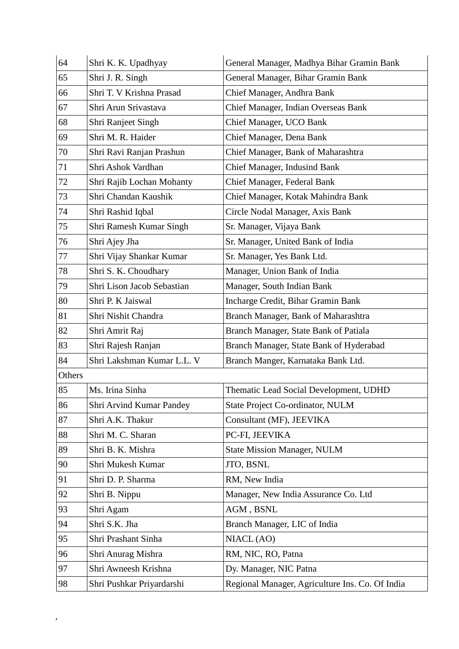| 64     | Shri K. K. Upadhyay        | General Manager, Madhya Bihar Gramin Bank       |
|--------|----------------------------|-------------------------------------------------|
| 65     | Shri J. R. Singh           | General Manager, Bihar Gramin Bank              |
| 66     | Shri T. V Krishna Prasad   | Chief Manager, Andhra Bank                      |
| 67     | Shri Arun Srivastava       | Chief Manager, Indian Overseas Bank             |
| 68     | Shri Ranjeet Singh         | Chief Manager, UCO Bank                         |
| 69     | Shri M. R. Haider          | Chief Manager, Dena Bank                        |
| 70     | Shri Ravi Ranjan Prashun   | Chief Manager, Bank of Maharashtra              |
| 71     | Shri Ashok Vardhan         | Chief Manager, Indusind Bank                    |
| 72     | Shri Rajib Lochan Mohanty  | Chief Manager, Federal Bank                     |
| 73     | Shri Chandan Kaushik       | Chief Manager, Kotak Mahindra Bank              |
| 74     | Shri Rashid Iqbal          | Circle Nodal Manager, Axis Bank                 |
| 75     | Shri Ramesh Kumar Singh    | Sr. Manager, Vijaya Bank                        |
| 76     | Shri Ajey Jha              | Sr. Manager, United Bank of India               |
| 77     | Shri Vijay Shankar Kumar   | Sr. Manager, Yes Bank Ltd.                      |
| 78     | Shri S. K. Choudhary       | Manager, Union Bank of India                    |
| 79     | Shri Lison Jacob Sebastian | Manager, South Indian Bank                      |
| 80     | Shri P. K Jaiswal          | Incharge Credit, Bihar Gramin Bank              |
| 81     | Shri Nishit Chandra        | Branch Manager, Bank of Maharashtra             |
| 82     | Shri Amrit Raj             | Branch Manager, State Bank of Patiala           |
| 83     | Shri Rajesh Ranjan         | Branch Manager, State Bank of Hyderabad         |
| 84     | Shri Lakshman Kumar L.L. V | Branch Manger, Karnataka Bank Ltd.              |
| Others |                            |                                                 |
| 85     | Ms. Irina Sinha            | Thematic Lead Social Development, UDHD          |
| 86     | Shri Arvind Kumar Pandey   | <b>State Project Co-ordinator, NULM</b>         |
| 87     | Shri A.K. Thakur           | Consultant (MF), JEEVIKA                        |
| 88     | Shri M. C. Sharan          | PC-FI, JEEVIKA                                  |
| 89     | Shri B. K. Mishra          | <b>State Mission Manager, NULM</b>              |
| 90     | Shri Mukesh Kumar          | JTO, BSNL                                       |
| 91     | Shri D. P. Sharma          | RM, New India                                   |
| 92     | Shri B. Nippu              | Manager, New India Assurance Co. Ltd            |
| 93     | Shri Agam                  | AGM, BSNL                                       |
| 94     | Shri S.K. Jha              | Branch Manager, LIC of India                    |
| 95     | Shri Prashant Sinha        | NIACL(AO)                                       |
| 96     | Shri Anurag Mishra         | RM, NIC, RO, Patna                              |
| 97     | Shri Awneesh Krishna       | Dy. Manager, NIC Patna                          |
| 98     | Shri Pushkar Priyardarshi  | Regional Manager, Agriculture Ins. Co. Of India |